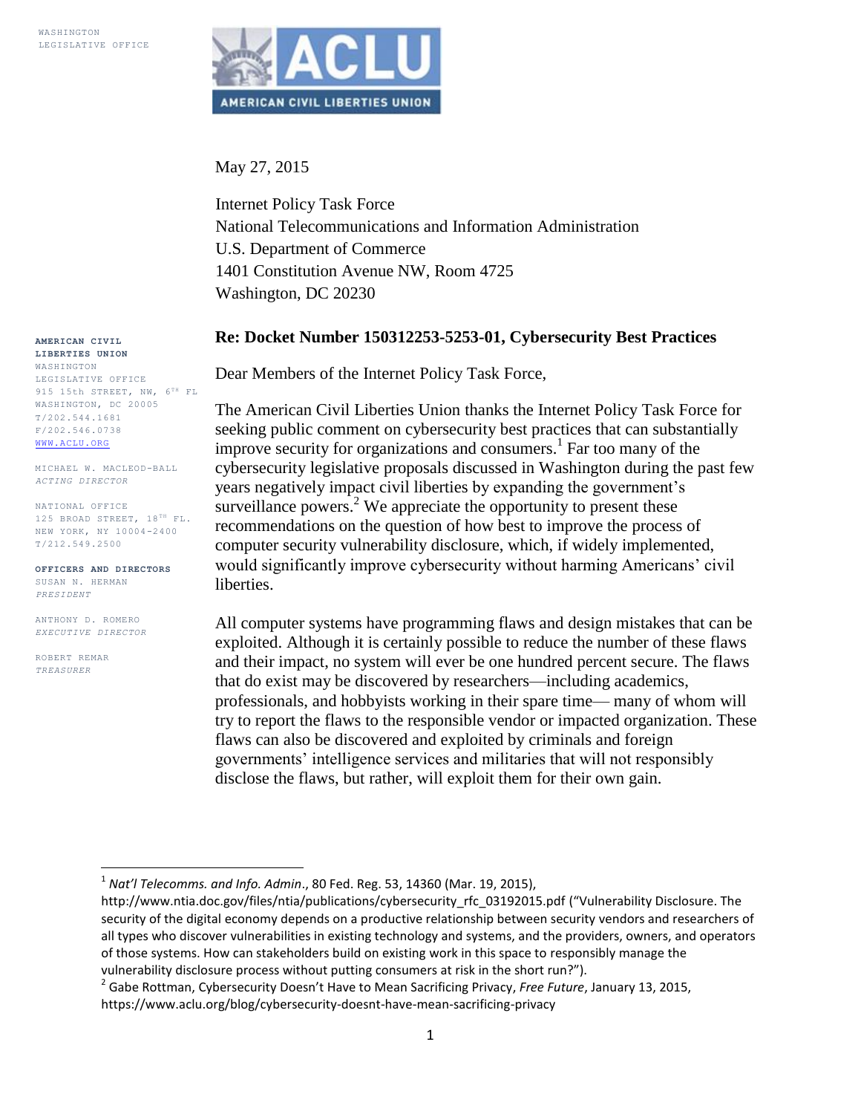

May 27, 2015

Internet Policy Task Force National Telecommunications and Information Administration U.S. Department of Commerce 1401 Constitution Avenue NW, Room 4725 Washington, DC 20230

#### **Re: Docket Number 150312253-5253-01, Cybersecurity Best Practices**

Dear Members of the Internet Policy Task Force,

The American Civil Liberties Union thanks the Internet Policy Task Force for seeking public comment on cybersecurity best practices that can substantially improve security for organizations and consumers.<sup>1</sup> Far too many of the cybersecurity legislative proposals discussed in Washington during the past few years negatively impact civil liberties by expanding the government's surveillance powers.<sup>2</sup> We appreciate the opportunity to present these recommendations on the question of how best to improve the process of computer security vulnerability disclosure, which, if widely implemented, would significantly improve cybersecurity without harming Americans' civil liberties.

All computer systems have programming flaws and design mistakes that can be exploited. Although it is certainly possible to reduce the number of these flaws and their impact, no system will ever be one hundred percent secure. The flaws that do exist may be discovered by researchers—including academics, professionals, and hobbyists working in their spare time— many of whom will try to report the flaws to the responsible vendor or impacted organization. These flaws can also be discovered and exploited by criminals and foreign governments' intelligence services and militaries that will not responsibly disclose the flaws, but rather, will exploit them for their own gain.

**AMERICAN CIVIL LIBERTIES UNION** WASHINGTON

LEGISLATIVE OFFICE 915 15th STREET, NW,  $6^{TH}$  FL WASHINGTON, DC 20005 T/202.544.1681 F/202.546.0738 [WWW.ACLU.ORG](http://www.aclu.org/)

MICHAEL W. MACLEOD-BALL *ACTING DIRECTOR*

NATIONAL OFFICE 125 BROAD STREET,  $18^{TH}$  FL. NEW YORK, NY 10004-2400 T/212.549.2500

**OFFICERS AND DIRECTORS** SUSAN N. HERMAN *PRESIDENT*

ANTHONY D. ROMERO *EXECUTIVE DIRECTOR*

 $\overline{\phantom{a}}$ 

ROBERT REMAR *TREASURER*

<sup>1</sup> *Nat'l Telecomms. and Info. Admin*., 80 Fed. Reg. 53, 14360 (Mar. 19, 2015),

http://www.ntia.doc.gov/files/ntia/publications/cybersecurity\_rfc\_03192015.pdf ("Vulnerability Disclosure. The security of the digital economy depends on a productive relationship between security vendors and researchers of all types who discover vulnerabilities in existing technology and systems, and the providers, owners, and operators of those systems. How can stakeholders build on existing work in this space to responsibly manage the vulnerability disclosure process without putting consumers at risk in the short run?").

<sup>2</sup> Gabe Rottman, Cybersecurity Doesn't Have to Mean Sacrificing Privacy, *Free Future*, January 13, 2015, https://www.aclu.org/blog/cybersecurity-doesnt-have-mean-sacrificing-privacy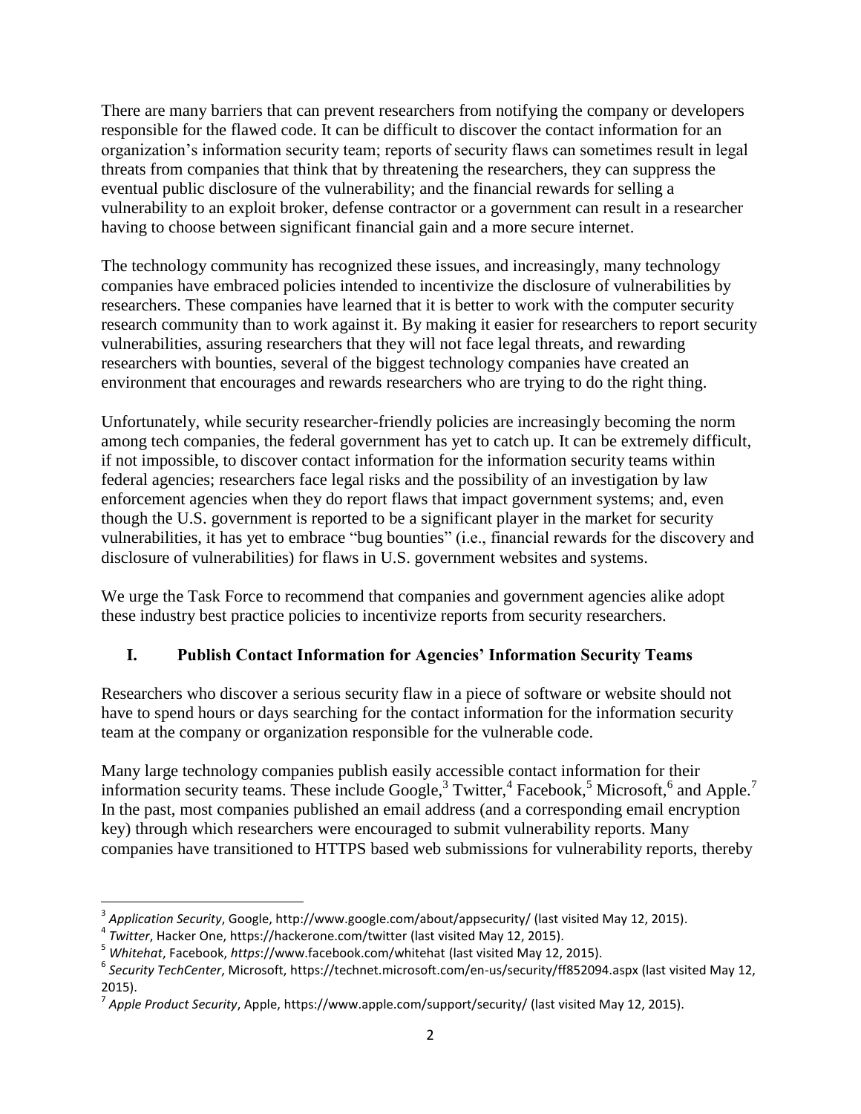There are many barriers that can prevent researchers from notifying the company or developers responsible for the flawed code. It can be difficult to discover the contact information for an organization's information security team; reports of security flaws can sometimes result in legal threats from companies that think that by threatening the researchers, they can suppress the eventual public disclosure of the vulnerability; and the financial rewards for selling a vulnerability to an exploit broker, defense contractor or a government can result in a researcher having to choose between significant financial gain and a more secure internet.

The technology community has recognized these issues, and increasingly, many technology companies have embraced policies intended to incentivize the disclosure of vulnerabilities by researchers. These companies have learned that it is better to work with the computer security research community than to work against it. By making it easier for researchers to report security vulnerabilities, assuring researchers that they will not face legal threats, and rewarding researchers with bounties, several of the biggest technology companies have created an environment that encourages and rewards researchers who are trying to do the right thing.

Unfortunately, while security researcher-friendly policies are increasingly becoming the norm among tech companies, the federal government has yet to catch up. It can be extremely difficult, if not impossible, to discover contact information for the information security teams within federal agencies; researchers face legal risks and the possibility of an investigation by law enforcement agencies when they do report flaws that impact government systems; and, even though the U.S. government is reported to be a significant player in the market for security vulnerabilities, it has yet to embrace "bug bounties" (i.e., financial rewards for the discovery and disclosure of vulnerabilities) for flaws in U.S. government websites and systems.

We urge the Task Force to recommend that companies and government agencies alike adopt these industry best practice policies to incentivize reports from security researchers.

## **I. Publish Contact Information for Agencies' Information Security Teams**

Researchers who discover a serious security flaw in a piece of software or website should not have to spend hours or days searching for the contact information for the information security team at the company or organization responsible for the vulnerable code.

Many large technology companies publish easily accessible contact information for their information security teams. These include Google,<sup>3</sup> Twitter,<sup>4</sup> Facebook,<sup>5</sup> Microsoft,<sup>6</sup> and Apple.<sup>7</sup> In the past, most companies published an email address (and a corresponding email encryption key) through which researchers were encouraged to submit vulnerability reports. Many companies have transitioned to HTTPS based web submissions for vulnerability reports, thereby

 $\overline{a}$ 3 *Application Security*, Google,<http://www.google.com/about/appsecurity/> (last visited May 12, 2015).

<sup>4</sup> *Twitter*, Hacker One, <https://hackerone.com/twitter> (last visited May 12, 2015).

<sup>5</sup> *Whitehat*, Facebook, *https*[://www.facebook.com/whitehat](https://www.facebook.com/whitehat) (last visited May 12, 2015).

<sup>6</sup> *Security TechCenter*, Microsoft, <https://technet.microsoft.com/en-us/security/ff852094.aspx> (last visited May 12, 2015).

<sup>7</sup> *Apple Product Security*, Apple, <https://www.apple.com/support/security/> (last visited May 12, 2015).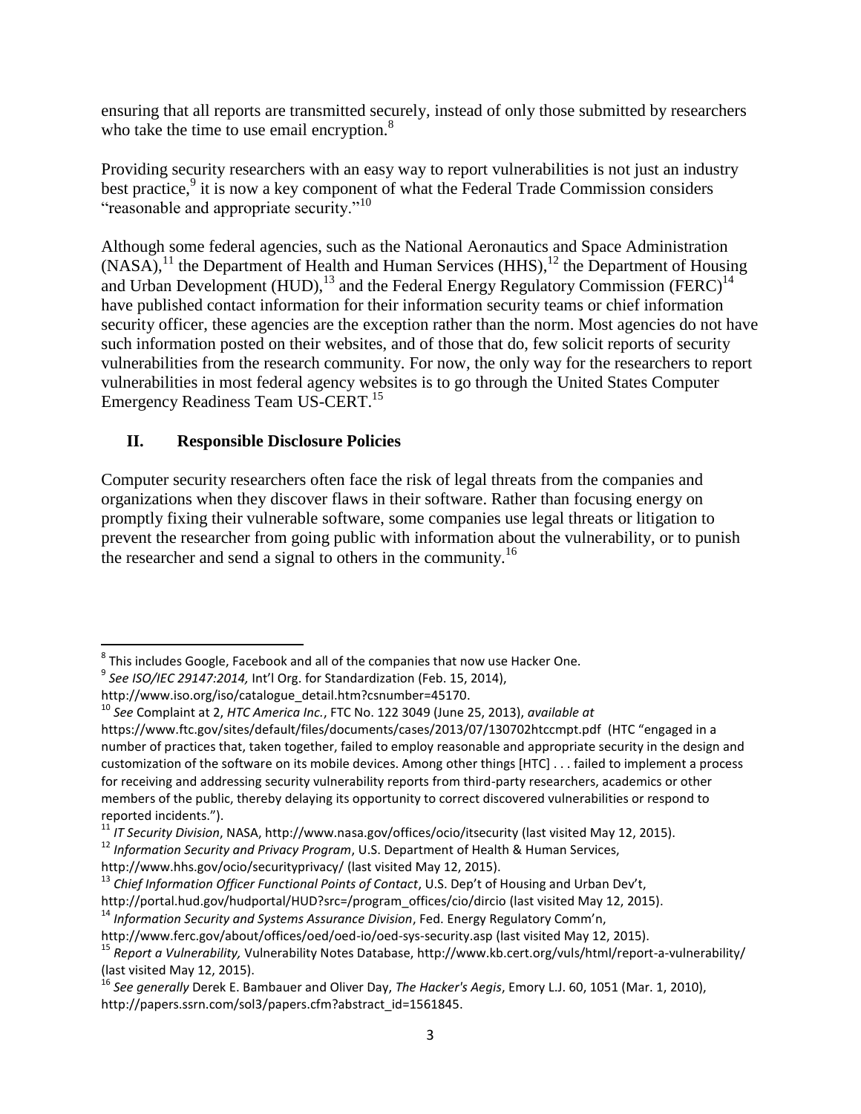ensuring that all reports are transmitted securely, instead of only those submitted by researchers who take the time to use email encryption. $\frac{8}{3}$ 

Providing security researchers with an easy way to report vulnerabilities is not just an industry best practice,<sup>9</sup> it is now a key component of what the Federal Trade Commission considers "reasonable and appropriate security."<sup>10</sup>

Although some federal agencies, such as the National Aeronautics and Space Administration  $(NASA)$ ,<sup>11</sup>, the Department of Health and Human Services (HHS),<sup>12</sup> the Department of Housing and Urban Development (HUD),  $^{13}$  and the Federal Energy Regulatory Commission (FERC)<sup>14</sup> have published contact information for their information security teams or chief information security officer, these agencies are the exception rather than the norm. Most agencies do not have such information posted on their websites, and of those that do, few solicit reports of security vulnerabilities from the research community. For now, the only way for the researchers to report vulnerabilities in most federal agency websites is to go through the United States Computer Emergency Readiness Team US-CERT.<sup>15</sup>

### **II. Responsible Disclosure Policies**

Computer security researchers often face the risk of legal threats from the companies and organizations when they discover flaws in their software. Rather than focusing energy on promptly fixing their vulnerable software, some companies use legal threats or litigation to prevent the researcher from going public with information about the vulnerability, or to punish the researcher and send a signal to others in the community.<sup>16</sup>

 8 This includes Google, Facebook and all of the companies that now use Hacker One.

<sup>9</sup> *See ISO/IEC 29147:2014,* Int'l Org. for Standardization (Feb. 15, 2014),

http://www.iso.org/iso/catalogue\_detail.htm?csnumber=45170.

<sup>10</sup> *See* Complaint at 2, *HTC America Inc.*, FTC No. 122 3049 (June 25, 2013), *available at* 

https://www.ftc.gov/sites/default/files/documents/cases/2013/07/130702htccmpt.pdf (HTC "engaged in a number of practices that, taken together, failed to employ reasonable and appropriate security in the design and customization of the software on its mobile devices. Among other things [HTC] . . . failed to implement a process for receiving and addressing security vulnerability reports from third-party researchers, academics or other members of the public, thereby delaying its opportunity to correct discovered vulnerabilities or respond to reported incidents.").

<sup>11</sup> *IT Security Division*, NASA, <http://www.nasa.gov/offices/ocio/itsecurity> (last visited May 12, 2015).

<sup>12</sup> *Information Security and Privacy Program*, U.S. Department of Health & Human Services,

<http://www.hhs.gov/ocio/securityprivacy/> (last visited May 12, 2015).

<sup>&</sup>lt;sup>13</sup> Chief Information Officer Functional Points of Contact, U.S. Dep't of Housing and Urban Dev't, [http://portal.hud.gov/hudportal/HUD?src=/program\\_offices/cio/dircio](http://portal.hud.gov/hudportal/HUD?src=/program_offices/cio/dircio) (last visited May 12, 2015).

<sup>14</sup> *Information Security and Systems Assurance Division*, Fed. Energy Regulatory Comm'n,

<http://www.ferc.gov/about/offices/oed/oed-io/oed-sys-security.asp> (last visited May 12, 2015).

<sup>15</sup> *Report a Vulnerability,* Vulnerability Notes Database,<http://www.kb.cert.org/vuls/html/report-a-vulnerability/> (last visited May 12, 2015).

<sup>16</sup> *See generally* Derek E. Bambauer and Oliver Day, *The Hacker's Aegis*, Emory L.J. 60, 1051 (Mar. 1, 2010), http://papers.ssrn.com/sol3/papers.cfm?abstract\_id=1561845.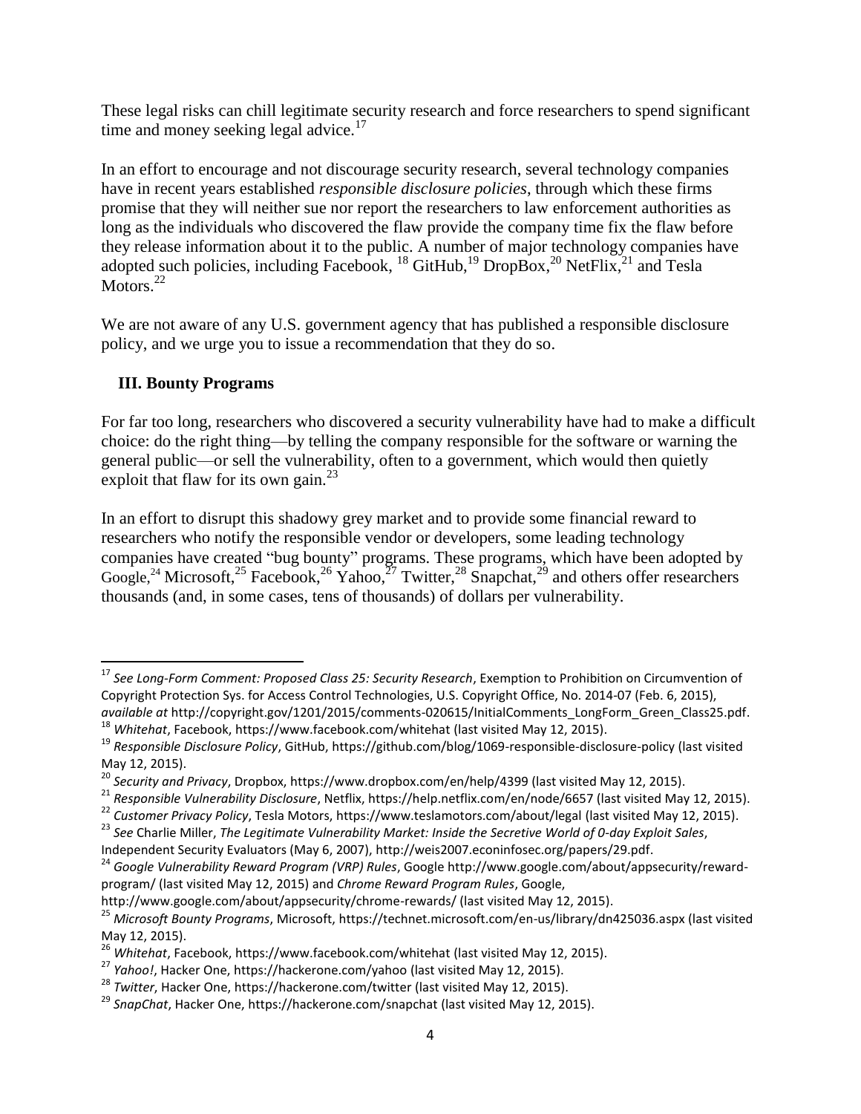These legal risks can chill legitimate security research and force researchers to spend significant time and money seeking legal advice. $17$ 

In an effort to encourage and not discourage security research, several technology companies have in recent years established *responsible disclosure policies*, through which these firms promise that they will neither sue nor report the researchers to law enforcement authorities as long as the individuals who discovered the flaw provide the company time fix the flaw before they release information about it to the public. A number of major technology companies have adopted such policies, including Facebook,  $^{18}$  GitHub,  $^{19}$  DropBox,  $^{20}$  NetFlix,  $^{21}$  and Tesla Motors.<sup>22</sup>

We are not aware of any U.S. government agency that has published a responsible disclosure policy, and we urge you to issue a recommendation that they do so.

### **III. Bounty Programs**

l

For far too long, researchers who discovered a security vulnerability have had to make a difficult choice: do the right thing—by telling the company responsible for the software or warning the general public—or sell the vulnerability, often to a government, which would then quietly exploit that flaw for its own gain. $^{23}$ 

In an effort to disrupt this shadowy grey market and to provide some financial reward to researchers who notify the responsible vendor or developers, some leading technology companies have created "bug bounty" programs. These programs, which have been adopted by Google,<sup>24</sup> Microsoft,<sup>25</sup> Facebook,<sup>26</sup> Yahoo,<sup>27</sup> Twitter,<sup>28</sup> Snapchat,<sup>29</sup> and others offer researchers thousands (and, in some cases, tens of thousands) of dollars per vulnerability.

<sup>17</sup> *See Long-Form Comment: Proposed Class 25: Security Research*, Exemption to Prohibition on Circumvention of Copyright Protection Sys. for Access Control Technologies, U.S. Copyright Office, No. 2014-07 (Feb. 6, 2015), *available at* http://copyright.gov/1201/2015/comments-020615/InitialComments\_LongForm\_Green\_Class25.pdf. <sup>18</sup> *Whitehat*, Facebook[, https://www.facebook.com/whitehat](https://www.facebook.com/whitehat) (last visited May 12, 2015).

<sup>19</sup> *Responsible Disclosure Policy*, GitHub,<https://github.com/blog/1069-responsible-disclosure-policy> (last visited May 12, 2015).

<sup>20</sup> *Security and Privacy*, Dropbox[, https://www.dropbox.com/en/help/4399](https://www.dropbox.com/en/help/4399) (last visited May 12, 2015).

<sup>21</sup> *Responsible Vulnerability Disclosure*, Netflix,<https://help.netflix.com/en/node/6657> (last visited May 12, 2015).

<sup>22</sup> *Customer Privacy Policy*, Tesla Motors,<https://www.teslamotors.com/about/legal> (last visited May 12, 2015).

<sup>23</sup> *See* Charlie Miller, *The Legitimate Vulnerability Market: Inside the Secretive World of 0-day Exploit Sales*,

Independent Security Evaluators (May 6, 2007), http://weis2007.econinfosec.org/papers/29.pdf.

<sup>24</sup> *Google Vulnerability Reward Program (VRP) Rules*[, Google http://www.google.com/about/appsecurity/reward](file://files.aclu.pvt/NYUsers/fawg/sroubini/Google%20Vulnerability%20Reward%20Program%20(VRP)%20Rules,%20Google%20http:/www.google.com/about/appsecurity/reward-program/)[program/](file://files.aclu.pvt/NYUsers/fawg/sroubini/Google%20Vulnerability%20Reward%20Program%20(VRP)%20Rules,%20Google%20http:/www.google.com/about/appsecurity/reward-program/) (last visited May 12, 2015) and *Chrome Reward Program Rules*, Google,

<http://www.google.com/about/appsecurity/chrome-rewards/> (last visited May 12, 2015).

<sup>25</sup> *Microsoft Bounty Programs*, Microsoft,<https://technet.microsoft.com/en-us/library/dn425036.aspx> (last visited May 12, 2015).

<sup>26</sup> *Whitehat*, Facebook[, https://www.facebook.com/whitehat](https://www.facebook.com/whitehat) (last visited May 12, 2015).

<sup>27</sup> *Yahoo!*, Hacker One,<https://hackerone.com/yahoo> (last visited May 12, 2015).

<sup>28</sup> *Twitter*, Hacker One,<https://hackerone.com/twitter> (last visited May 12, 2015).

<sup>29</sup> *SnapChat*, Hacker One[, https://hackerone.com/snapchat](https://hackerone.com/snapchat) (last visited May 12, 2015).